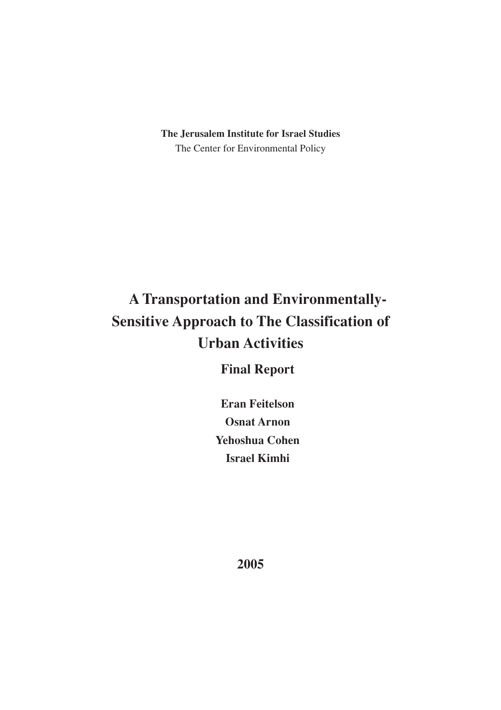**The Jerusalem Institute for Israel Studies** The Center for Environmental Policy

# **A Transportation and Environmentally-Sensitive Approach to The Classification of Urban Activities**

**Final Report**

**Eran Feitelson Osnat Arnon Yehoshua Cohen Israel Kimhi**

**2005**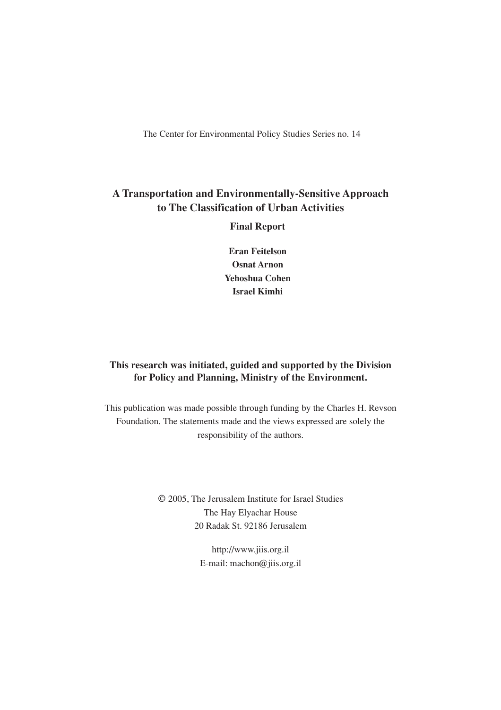The Center for Environmental Policy Studies Series no. 14

### **A Transportation and Environmentally-Sensitive Approach to The Classification of Urban Activities**

**Final Report**

**Eran Feitelson Osnat Arnon Yehoshua Cohen Israel Kimhi**

#### **This research was initiated, guided and supported by the Division for Policy and Planning, Ministry of the Environment.**

This publication was made possible through funding by the Charles H. Revson Foundation. The statements made and the views expressed are solely the responsibility of the authors.

> © 2005, The Jerusalem Institute for Israel Studies The Hay Elyachar House 20 Radak St. 92186 Jerusalem

> > http://www.jiis.org.il E-mail: machon@jiis.org.il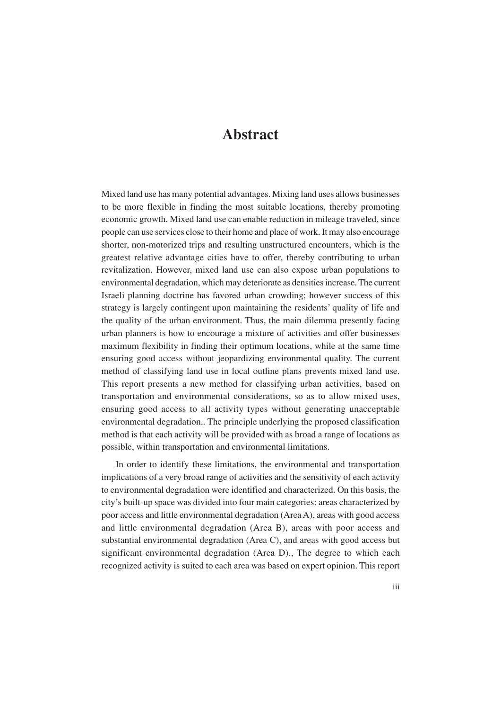## **Abstract**

Mixed land use has many potential advantages. Mixing land uses allows businesses to be more flexible in finding the most suitable locations, thereby promoting economic growth. Mixed land use can enable reduction in mileage traveled, since people can use services close to their home and place of work. It may also encourage shorter, non-motorized trips and resulting unstructured encounters, which is the greatest relative advantage cities have to offer, thereby contributing to urban revitalization. However, mixed land use can also expose urban populations to environmental degradation, which may deteriorate as densities increase. The current Israeli planning doctrine has favored urban crowding; however success of this strategy is largely contingent upon maintaining the residents' quality of life and the quality of the urban environment. Thus, the main dilemma presently facing urban planners is how to encourage a mixture of activities and offer businesses maximum flexibility in finding their optimum locations, while at the same time ensuring good access without jeopardizing environmental quality. The current method of classifying land use in local outline plans prevents mixed land use. This report presents a new method for classifying urban activities, based on transportation and environmental considerations, so as to allow mixed uses, ensuring good access to all activity types without generating unacceptable environmental degradation.. The principle underlying the proposed classification method is that each activity will be provided with as broad a range of locations as possible, within transportation and environmental limitations.

In order to identify these limitations, the environmental and transportation implications of a very broad range of activities and the sensitivity of each activity to environmental degradation were identified and characterized. On this basis, the city's built-up space was divided into four main categories: areas characterized by poor access and little environmental degradation (Area A), areas with good access and little environmental degradation (Area B), areas with poor access and substantial environmental degradation (Area C), and areas with good access but significant environmental degradation (Area D)., The degree to which each recognized activity is suited to each area was based on expert opinion. This report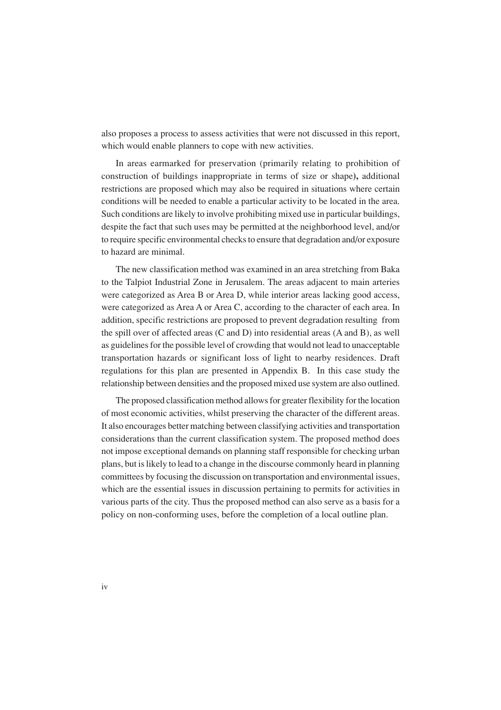also proposes a process to assess activities that were not discussed in this report, which would enable planners to cope with new activities.

In areas earmarked for preservation (primarily relating to prohibition of construction of buildings inappropriate in terms of size or shape**),** additional restrictions are proposed which may also be required in situations where certain conditions will be needed to enable a particular activity to be located in the area. Such conditions are likely to involve prohibiting mixed use in particular buildings, despite the fact that such uses may be permitted at the neighborhood level, and/or to require specific environmental checks to ensure that degradation and/or exposure to hazard are minimal.

The new classification method was examined in an area stretching from Baka to the Talpiot Industrial Zone in Jerusalem. The areas adjacent to main arteries were categorized as Area B or Area D, while interior areas lacking good access, were categorized as Area A or Area C, according to the character of each area. In addition, specific restrictions are proposed to prevent degradation resulting from the spill over of affected areas (C and D) into residential areas (A and B), as well as guidelines for the possible level of crowding that would not lead to unacceptable transportation hazards or significant loss of light to nearby residences. Draft regulations for this plan are presented in Appendix B. In this case study the relationship between densities and the proposed mixed use system are also outlined.

The proposed classification method allows for greater flexibility for the location of most economic activities, whilst preserving the character of the different areas. It also encourages better matching between classifying activities and transportation considerations than the current classification system. The proposed method does not impose exceptional demands on planning staff responsible for checking urban plans, but is likely to lead to a change in the discourse commonly heard in planning committees by focusing the discussion on transportation and environmental issues, which are the essential issues in discussion pertaining to permits for activities in various parts of the city. Thus the proposed method can also serve as a basis for a policy on non-conforming uses, before the completion of a local outline plan.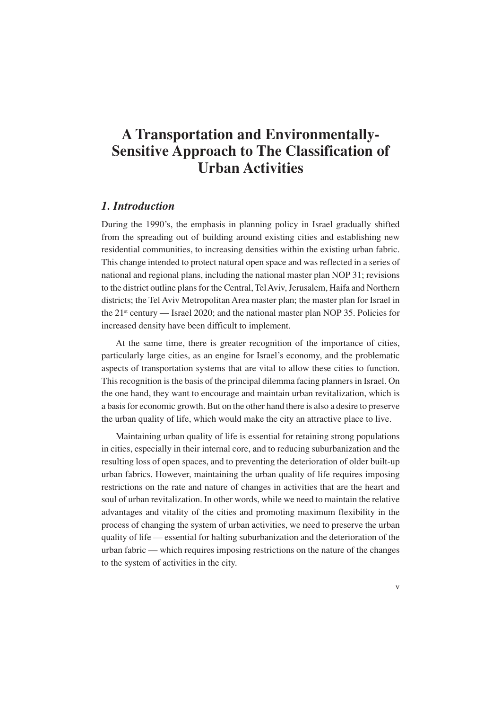## **A Transportation and Environmentally-Sensitive Approach to The Classification of Urban Activities**

#### *1. Introduction*

During the 1990's, the emphasis in planning policy in Israel gradually shifted from the spreading out of building around existing cities and establishing new residential communities, to increasing densities within the existing urban fabric. This change intended to protect natural open space and was reflected in a series of national and regional plans, including the national master plan NOP 31; revisions to the district outline plans for the Central, Tel Aviv, Jerusalem, Haifa and Northern districts; the Tel Aviv Metropolitan Area master plan; the master plan for Israel in the 21st century — Israel 2020; and the national master plan NOP 35. Policies for increased density have been difficult to implement.

At the same time, there is greater recognition of the importance of cities, particularly large cities, as an engine for Israel's economy, and the problematic aspects of transportation systems that are vital to allow these cities to function. This recognition is the basis of the principal dilemma facing planners in Israel. On the one hand, they want to encourage and maintain urban revitalization, which is a basis for economic growth. But on the other hand there is also a desire to preserve the urban quality of life, which would make the city an attractive place to live.

Maintaining urban quality of life is essential for retaining strong populations in cities, especially in their internal core, and to reducing suburbanization and the resulting loss of open spaces, and to preventing the deterioration of older built-up urban fabrics. However, maintaining the urban quality of life requires imposing restrictions on the rate and nature of changes in activities that are the heart and soul of urban revitalization. In other words, while we need to maintain the relative advantages and vitality of the cities and promoting maximum flexibility in the process of changing the system of urban activities, we need to preserve the urban quality of life — essential for halting suburbanization and the deterioration of the urban fabric — which requires imposing restrictions on the nature of the changes to the system of activities in the city.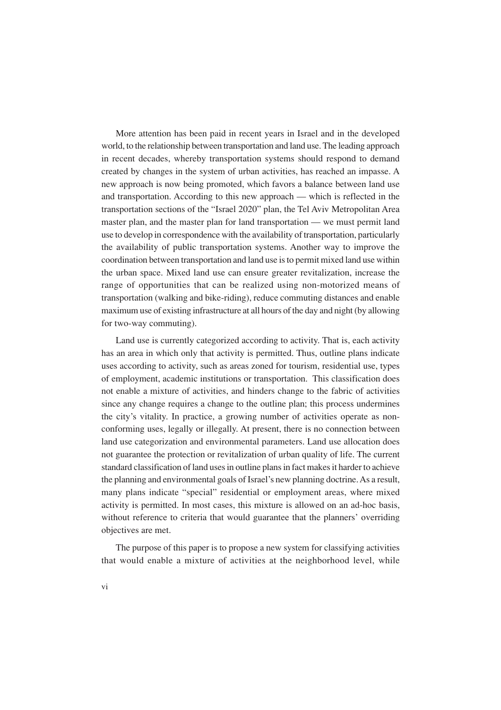More attention has been paid in recent years in Israel and in the developed world, to the relationship between transportation and land use. The leading approach in recent decades, whereby transportation systems should respond to demand created by changes in the system of urban activities, has reached an impasse. A new approach is now being promoted, which favors a balance between land use and transportation. According to this new approach — which is reflected in the transportation sections of the "Israel 2020" plan, the Tel Aviv Metropolitan Area master plan, and the master plan for land transportation — we must permit land use to develop in correspondence with the availability of transportation, particularly the availability of public transportation systems. Another way to improve the coordination between transportation and land use is to permit mixed land use within the urban space. Mixed land use can ensure greater revitalization, increase the range of opportunities that can be realized using non-motorized means of transportation (walking and bike-riding), reduce commuting distances and enable maximum use of existing infrastructure at all hours of the day and night (by allowing for two-way commuting).

Land use is currently categorized according to activity. That is, each activity has an area in which only that activity is permitted. Thus, outline plans indicate uses according to activity, such as areas zoned for tourism, residential use, types of employment, academic institutions or transportation. This classification does not enable a mixture of activities, and hinders change to the fabric of activities since any change requires a change to the outline plan; this process undermines the city's vitality. In practice, a growing number of activities operate as nonconforming uses, legally or illegally. At present, there is no connection between land use categorization and environmental parameters. Land use allocation does not guarantee the protection or revitalization of urban quality of life. The current standard classification of land uses in outline plans in fact makes it harder to achieve the planning and environmental goals of Israel's new planning doctrine. As a result, many plans indicate "special" residential or employment areas, where mixed activity is permitted. In most cases, this mixture is allowed on an ad-hoc basis, without reference to criteria that would guarantee that the planners' overriding objectives are met.

The purpose of this paper is to propose a new system for classifying activities that would enable a mixture of activities at the neighborhood level, while